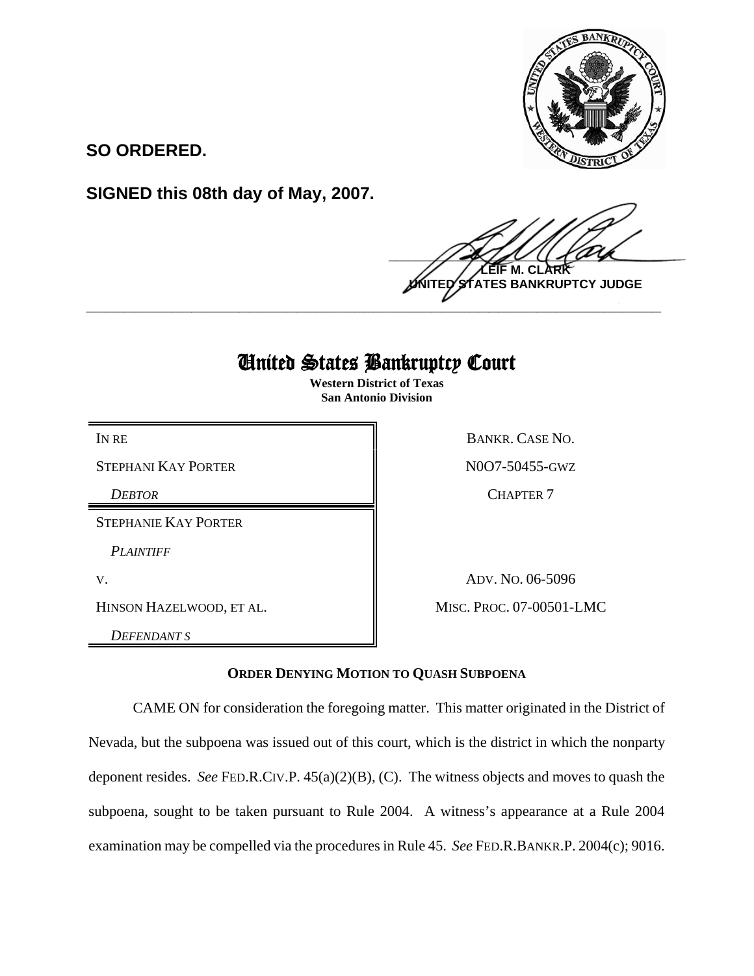

**SO ORDERED.**

**SIGNED this 08th day of May, 2007.**

 $\frac{1}{2}$ **LEIF M. CLARK NTES BANKRUPTCY JUDGE \_\_\_\_\_\_\_\_\_\_\_\_\_\_\_\_\_\_\_\_\_\_\_\_\_\_\_\_\_\_\_\_\_\_\_\_\_\_\_\_\_\_\_\_\_\_\_\_\_\_\_\_\_\_\_\_\_\_\_\_**

## United States Bankruptcy Court

**Western District of Texas San Antonio Division**

STEPHANI KAY PORTER  $\parallel$  N0O7-50455-GWZ

STEPHANIE KAY PORTER

*PLAINTIFF* 

*DEFENDANT S*

IN RE BANKR. CASE NO. *DEBTOR* CHAPTER 7

V. ADV. No. 06-5096 HINSON HAZELWOOD, ET AL. MISC. PROC. 07-00501-LMC

## **ORDER DENYING MOTION TO QUASH SUBPOENA**

CAME ON for consideration the foregoing matter. This matter originated in the District of Nevada, but the subpoena was issued out of this court, which is the district in which the nonparty deponent resides. *See* FED.R.CIV.P. 45(a)(2)(B), (C). The witness objects and moves to quash the subpoena, sought to be taken pursuant to Rule 2004. A witness's appearance at a Rule 2004 examination may be compelled via the procedures in Rule 45. *See* FED.R.BANKR.P. 2004(c); 9016.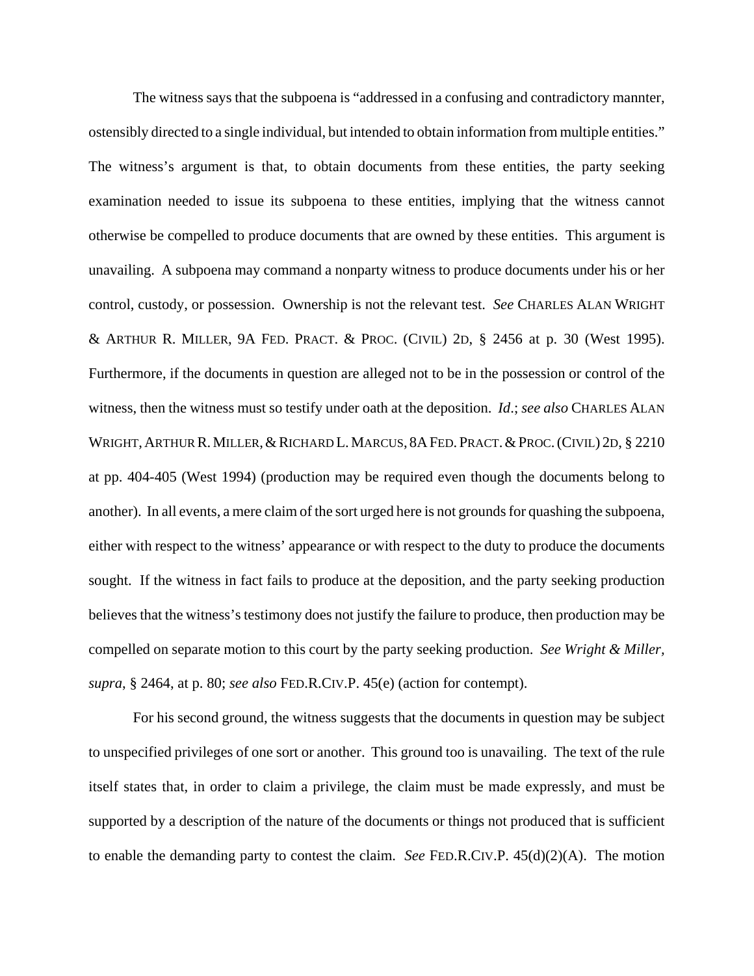The witness says that the subpoena is "addressed in a confusing and contradictory mannter, ostensibly directed to a single individual, but intended to obtain information from multiple entities." The witness's argument is that, to obtain documents from these entities, the party seeking examination needed to issue its subpoena to these entities, implying that the witness cannot otherwise be compelled to produce documents that are owned by these entities. This argument is unavailing. A subpoena may command a nonparty witness to produce documents under his or her control, custody, or possession. Ownership is not the relevant test. *See* CHARLES ALAN WRIGHT & ARTHUR R. MILLER, 9A FED. PRACT. & PROC. (CIVIL) 2D, § 2456 at p. 30 (West 1995). Furthermore, if the documents in question are alleged not to be in the possession or control of the witness, then the witness must so testify under oath at the deposition. *Id*.; *see also* CHARLES ALAN WRIGHT, ARTHUR R. MILLER, & RICHARD L. MARCUS, 8A FED. PRACT. & PROC. (CIVIL) 2D, § 2210 at pp. 404-405 (West 1994) (production may be required even though the documents belong to another). In all events, a mere claim of the sort urged here is not grounds for quashing the subpoena, either with respect to the witness' appearance or with respect to the duty to produce the documents sought. If the witness in fact fails to produce at the deposition, and the party seeking production believes that the witness's testimony does not justify the failure to produce, then production may be compelled on separate motion to this court by the party seeking production. *See Wright & Miller, supra*, § 2464, at p. 80; *see also* FED.R.CIV.P. 45(e) (action for contempt).

For his second ground, the witness suggests that the documents in question may be subject to unspecified privileges of one sort or another. This ground too is unavailing. The text of the rule itself states that, in order to claim a privilege, the claim must be made expressly, and must be supported by a description of the nature of the documents or things not produced that is sufficient to enable the demanding party to contest the claim. *See* FED.R.CIV.P. 45(d)(2)(A). The motion